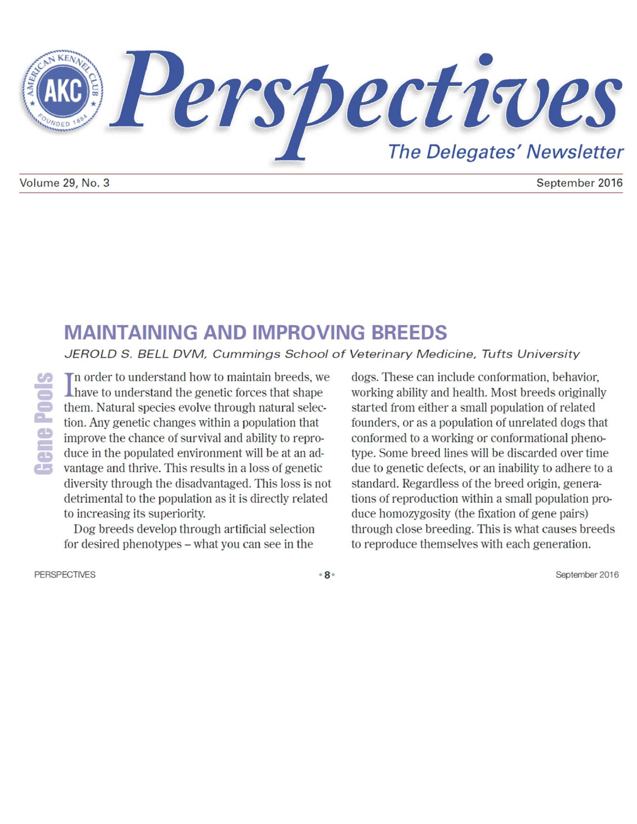

September 2016

# **MAINTAINING AND IMPROVING BREEDS**

JEROLD S. BELL DVM, Cummings School of Veterinary Medicine, Tufts University

In order to understand how to maintain breeds, we **Thave to understand the genetic forces that shape** them. Natural species evolve through natural selection. Any genetic changes within a population that improve the chance of survival and ability to reproduce in the populated environment will be at an advantage and thrive. This results in a loss of genetic diversity through the disadvantaged. This loss is not detrimental to the population as it is directly related to increasing its superiority.

Dog breeds develop through artificial selection for desired phenotypes - what you can see in the

dogs. These can include conformation, behavior, working ability and health. Most breeds originally started from either a small population of related founders, or as a population of unrelated dogs that conformed to a working or conformational phenotype. Some breed lines will be discarded over time due to genetic defects, or an inability to adhere to a standard. Regardless of the breed origin, generations of reproduction within a small population produce homozygosity (the fixation of gene pairs) through close breeding. This is what causes breeds to reproduce themselves with each generation.

**PERSPECTIVES** 

 $8<sup>°</sup>$ 

September 2016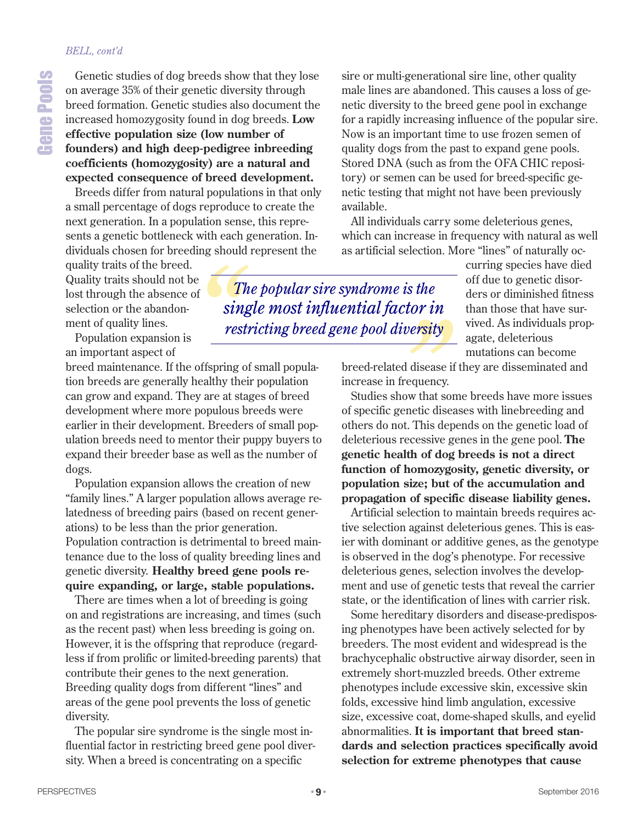#### *BELL, cont'd*

Genetic studies of dog breeds show that they lose on average 35% of their genetic diversity through breed formation. Genetic studies also document the increased homozygosity found in dog breeds. **Low effective population size (low number of founders) and high deep-pedigree inbreeding coefficients (homozygosity) are a natural and expected consequence of breed development.**

Breeds differ from natural populations in that only a small percentage of dogs reproduce to create the next generation. In a population sense, this represents a genetic bottleneck with each generation. Individuals chosen for breeding should represent the

quality traits of the breed. Quality traits should not be lost through the absence of selection or the abandonment of quality lines.

Population expansion is an important aspect of

breed maintenance. If the offspring of small population breeds are generally healthy their population can grow and expand. They are at stages of breed development where more populous breeds were earlier in their development. Breeders of small population breeds need to mentor their puppy buyers to expand their breeder base as well as the number of dogs.

Population expansion allows the creation of new "family lines." A larger population allows average relatedness of breeding pairs (based on recent generations) to be less than the prior generation. Population contraction is detrimental to breed maintenance due to the loss of quality breeding lines and genetic diversity. **Healthy breed gene pools require expanding, or large, stable populations.**

There are times when a lot of breeding is going on and registrations are increasing, and times (such as the recent past) when less breeding is going on. However, it is the offspring that reproduce (regardless if from prolific or limited-breeding parents) that contribute their genes to the next generation. Breeding quality dogs from different "lines" and areas of the gene pool prevents the loss of genetic diversity.

The popular sire syndrome is the single most influential factor in restricting breed gene pool diversity. When a breed is concentrating on a specific

sire or multi-generational sire line, other quality male lines are abandoned. This causes a loss of genetic diversity to the breed gene pool in exchange for a rapidly increasing influence of the popular sire. Now is an important time to use frozen semen of quality dogs from the past to expand gene pools. Stored DNA (such as from the OFA CHIC repository) or semen can be used for breed-specific genetic testing that might not have been previously available.

All individuals carry some deleterious genes, which can increase in frequency with natural as well as artificial selection. More "lines" of naturally oc-

*The popular sire syndrome is the single most influential factor in restricting breed gene pool diversity*

curring species have died off due to genetic disorders or diminished fitness than those that have survived. As individuals propagate, deleterious mutations can become

breed-related disease if they are disseminated and increase in frequency.

Studies show that some breeds have more issues of specific genetic diseases with linebreeding and others do not. This depends on the genetic load of deleterious recessive genes in the gene pool. **The genetic health of dog breeds is not a direct function of homozygosity, genetic diversity, or population size; but of the accumulation and propagation of specific disease liability genes.**

Artificial selection to maintain breeds requires active selection against deleterious genes. This is easier with dominant or additive genes, as the genotype is observed in the dog's phenotype. For recessive deleterious genes, selection involves the development and use of genetic tests that reveal the carrier state, or the identification of lines with carrier risk.

Some hereditary disorders and disease-predisposing phenotypes have been actively selected for by breeders. The most evident and widespread is the brachycephalic obstructive airway disorder, seen in extremely short-muzzled breeds. Other extreme phenotypes include excessive skin, excessive skin folds, excessive hind limb angulation, excessive size, excessive coat, dome-shaped skulls, and eyelid abnormalities. **It is important that breed standards and selection practices specifically avoid selection for extreme phenotypes that cause**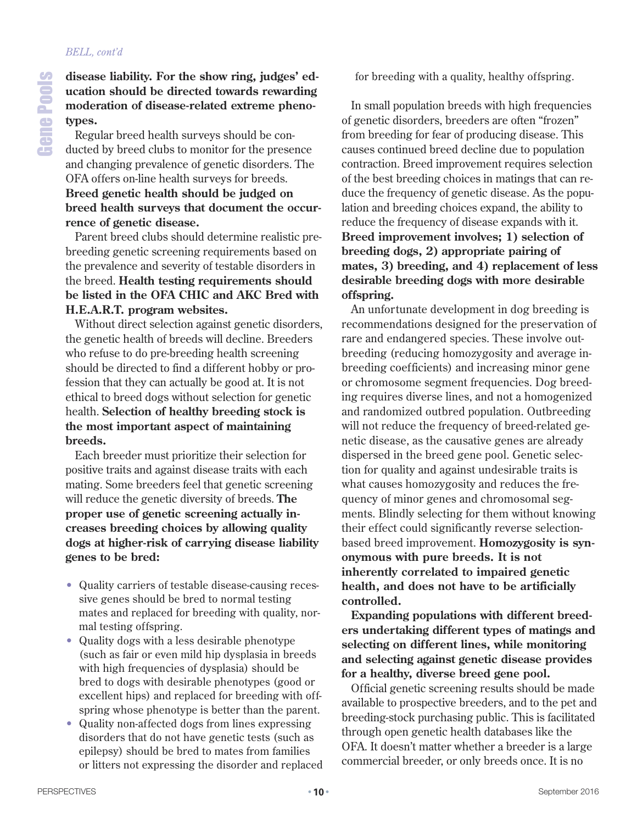e

ols

# **ucation should be directed towards rewarding moderation of disease-related extreme pheno-**Regular breed health surveys should be conducted by breed clubs to monitor for the presence

and changing prevalence of genetic disorders. The OFA offers on-line health surveys for breeds. **Breed genetic health should be judged on breed health surveys that document the occurrence of genetic disease.**

Parent breed clubs should determine realistic prebreeding genetic screening requirements based on the prevalence and severity of testable disorders in the breed. **Health testing requirements should be listed in the OFA CHIC and AKC Bred with H.E.A.R.T. program websites.**

Without direct selection against genetic disorders, the genetic health of breeds will decline. Breeders who refuse to do pre-breeding health screening should be directed to find a different hobby or profession that they can actually be good at. It is not ethical to breed dogs without selection for genetic health. **Selection of healthy breeding stock is the most important aspect of maintaining breeds.**

Each breeder must prioritize their selection for positive traits and against disease traits with each mating. Some breeders feel that genetic screening will reduce the genetic diversity of breeds. **The proper use of genetic screening actually increases breeding choices by allowing quality dogs at higher-risk of carrying disease liability genes to be bred:**

- Quality carriers of testable disease-causing recessive genes should be bred to normal testing mates and replaced for breeding with quality, normal testing offspring.
- Quality dogs with a less desirable phenotype (such as fair or even mild hip dysplasia in breeds with high frequencies of dysplasia) should be bred to dogs with desirable phenotypes (good or excellent hips) and replaced for breeding with offspring whose phenotype is better than the parent.
- Quality non-affected dogs from lines expressing disorders that do not have genetic tests (such as epilepsy) should be bred to mates from families or litters not expressing the disorder and replaced

for breeding with a quality, healthy offspring.

In small population breeds with high frequencies of genetic disorders, breeders are often "frozen" from breeding for fear of producing disease. This causes continued breed decline due to population contraction. Breed improvement requires selection of the best breeding choices in matings that can reduce the frequency of genetic disease. As the population and breeding choices expand, the ability to reduce the frequency of disease expands with it. **Breed improvement involves; 1) selection of breeding dogs, 2) appropriate pairing of mates, 3) breeding, and 4) replacement of less desirable breeding dogs with more desirable offspring.**

An unfortunate development in dog breeding is recommendations designed for the preservation of rare and endangered species. These involve outbreeding (reducing homozygosity and average inbreeding coefficients) and increasing minor gene or chromosome segment frequencies. Dog breeding requires diverse lines, and not a homogenized and randomized outbred population. Outbreeding will not reduce the frequency of breed-related genetic disease, as the causative genes are already dispersed in the breed gene pool. Genetic selection for quality and against undesirable traits is what causes homozygosity and reduces the frequency of minor genes and chromosomal segments. Blindly selecting for them without knowing their effect could significantly reverse selectionbased breed improvement. **Homozygosity is synonymous with pure breeds. It is not inherently correlated to impaired genetic health, and does not have to be artificially controlled.**

**Expanding populations with different breeders undertaking different types of matings and selecting on different lines, while monitoring and selecting against genetic disease provides for a healthy, diverse breed gene pool.**

Official genetic screening results should be made available to prospective breeders, and to the pet and breeding-stock purchasing public. This is facilitated through open genetic health databases like the OFA. It doesn't matter whether a breeder is a large commercial breeder, or only breeds once. It is no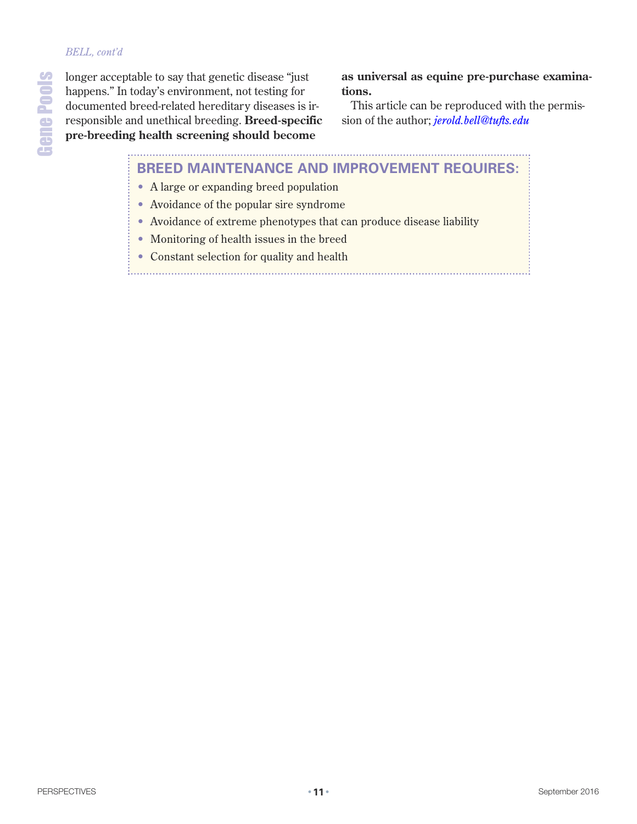#### *BELL, cont'd*

longer acceptable to say that genetic disease "just happens." In today's environment, not testing for documented breed-related hereditary diseases is irresponsible and unethical breeding. **Breed-specific pre-breeding health screening should become**

**as universal as equine pre-purchase examinations.**

This article can be reproduced with the permission of the author; *[jerold.bell@tufts.edu](mailto:jerold.bell@tufts.edu)*

## **BREED MAINTENANCE AND IMPROVEMENT REQUIRES:** • A large or expanding breed population

- Avoidance of the popular sire syndrome
- Avoidance of extreme phenotypes that can produce disease liability
- Monitoring of health issues in the breed
- Constant selection for quality and health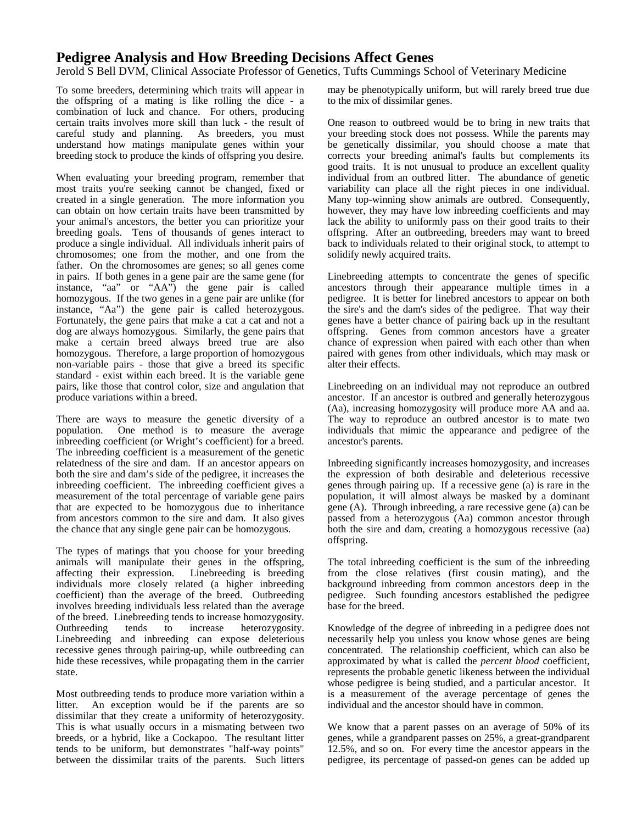## **Pedigree Analysis and How Breeding Decisions Affect Genes**

Jerold S Bell DVM, Clinical Associate Professor of Genetics, Tufts Cummings School of Veterinary Medicine

To some breeders, determining which traits will appear in the offspring of a mating is like rolling the dice - a combination of luck and chance. For others, producing certain traits involves more skill than luck - the result of careful study and planning. As breeders, you must understand how matings manipulate genes within your breeding stock to produce the kinds of offspring you desire.

When evaluating your breeding program, remember that most traits you're seeking cannot be changed, fixed or created in a single generation. The more information you can obtain on how certain traits have been transmitted by your animal's ancestors, the better you can prioritize your breeding goals. Tens of thousands of genes interact to produce a single individual. All individuals inherit pairs of chromosomes; one from the mother, and one from the father. On the chromosomes are genes; so all genes come in pairs. If both genes in a gene pair are the same gene (for instance, "aa" or "AA") the gene pair is called homozygous. If the two genes in a gene pair are unlike (for instance, "Aa") the gene pair is called heterozygous. Fortunately, the gene pairs that make a cat a cat and not a dog are always homozygous. Similarly, the gene pairs that make a certain breed always breed true are also homozygous. Therefore, a large proportion of homozygous non-variable pairs - those that give a breed its specific standard - exist within each breed. It is the variable gene pairs, like those that control color, size and angulation that produce variations within a breed.

There are ways to measure the genetic diversity of a population. One method is to measure the average inbreeding coefficient (or Wright's coefficient) for a breed. The inbreeding coefficient is a measurement of the genetic relatedness of the sire and dam. If an ancestor appears on both the sire and dam's side of the pedigree, it increases the inbreeding coefficient. The inbreeding coefficient gives a measurement of the total percentage of variable gene pairs that are expected to be homozygous due to inheritance from ancestors common to the sire and dam. It also gives the chance that any single gene pair can be homozygous.

The types of matings that you choose for your breeding animals will manipulate their genes in the offspring, affecting their expression. Linebreeding is breeding individuals more closely related (a higher inbreeding coefficient) than the average of the breed. Outbreeding involves breeding individuals less related than the average of the breed. Linebreeding tends to increase homozygosity.<br>Outbreeding tends to increase heterozygosity. Outbreeding tends to increase heterozygosity. Linebreeding and inbreeding can expose deleterious recessive genes through pairing-up, while outbreeding can hide these recessives, while propagating them in the carrier state.

Most outbreeding tends to produce more variation within a litter. An exception would be if the parents are so dissimilar that they create a uniformity of heterozygosity. This is what usually occurs in a mismating between two breeds, or a hybrid, like a Cockapoo. The resultant litter tends to be uniform, but demonstrates "half-way points" between the dissimilar traits of the parents. Such litters may be phenotypically uniform, but will rarely breed true due to the mix of dissimilar genes.

One reason to outbreed would be to bring in new traits that your breeding stock does not possess. While the parents may be genetically dissimilar, you should choose a mate that corrects your breeding animal's faults but complements its good traits. It is not unusual to produce an excellent quality individual from an outbred litter. The abundance of genetic variability can place all the right pieces in one individual. Many top-winning show animals are outbred. Consequently, however, they may have low inbreeding coefficients and may lack the ability to uniformly pass on their good traits to their offspring. After an outbreeding, breeders may want to breed back to individuals related to their original stock, to attempt to solidify newly acquired traits.

Linebreeding attempts to concentrate the genes of specific ancestors through their appearance multiple times in a pedigree. It is better for linebred ancestors to appear on both the sire's and the dam's sides of the pedigree. That way their genes have a better chance of pairing back up in the resultant offspring. Genes from common ancestors have a greater chance of expression when paired with each other than when paired with genes from other individuals, which may mask or alter their effects.

Linebreeding on an individual may not reproduce an outbred ancestor. If an ancestor is outbred and generally heterozygous (Aa), increasing homozygosity will produce more AA and aa. The way to reproduce an outbred ancestor is to mate two individuals that mimic the appearance and pedigree of the ancestor's parents.

Inbreeding significantly increases homozygosity, and increases the expression of both desirable and deleterious recessive genes through pairing up. If a recessive gene (a) is rare in the population, it will almost always be masked by a dominant gene (A). Through inbreeding, a rare recessive gene (a) can be passed from a heterozygous (Aa) common ancestor through both the sire and dam, creating a homozygous recessive (aa) offspring.

The total inbreeding coefficient is the sum of the inbreeding from the close relatives (first cousin mating), and the background inbreeding from common ancestors deep in the pedigree. Such founding ancestors established the pedigree base for the breed.

Knowledge of the degree of inbreeding in a pedigree does not necessarily help you unless you know whose genes are being concentrated. The relationship coefficient, which can also be approximated by what is called the *percent blood* coefficient, represents the probable genetic likeness between the individual whose pedigree is being studied, and a particular ancestor. It is a measurement of the average percentage of genes the individual and the ancestor should have in common.

We know that a parent passes on an average of 50% of its genes, while a grandparent passes on 25%, a great-grandparent 12.5%, and so on. For every time the ancestor appears in the pedigree, its percentage of passed-on genes can be added up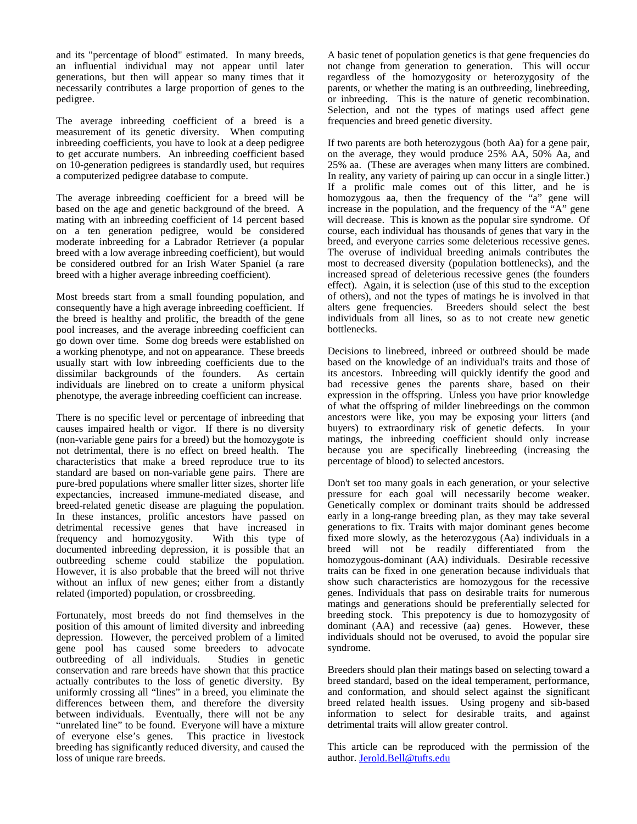and its "percentage of blood" estimated. In many breeds, an influential individual may not appear until later generations, but then will appear so many times that it necessarily contributes a large proportion of genes to the pedigree.

The average inbreeding coefficient of a breed is a measurement of its genetic diversity. When computing inbreeding coefficients, you have to look at a deep pedigree to get accurate numbers. An inbreeding coefficient based on 10-generation pedigrees is standardly used, but requires a computerized pedigree database to compute.

The average inbreeding coefficient for a breed will be based on the age and genetic background of the breed. A mating with an inbreeding coefficient of 14 percent based on a ten generation pedigree, would be considered moderate inbreeding for a Labrador Retriever (a popular breed with a low average inbreeding coefficient), but would be considered outbred for an Irish Water Spaniel (a rare breed with a higher average inbreeding coefficient).

Most breeds start from a small founding population, and consequently have a high average inbreeding coefficient. If the breed is healthy and prolific, the breadth of the gene pool increases, and the average inbreeding coefficient can go down over time. Some dog breeds were established on a working phenotype, and not on appearance. These breeds usually start with low inbreeding coefficients due to the dissimilar backgrounds of the founders. As certain individuals are linebred on to create a uniform physical phenotype, the average inbreeding coefficient can increase.

There is no specific level or percentage of inbreeding that causes impaired health or vigor. If there is no diversity (non-variable gene pairs for a breed) but the homozygote is not detrimental, there is no effect on breed health. The characteristics that make a breed reproduce true to its standard are based on non-variable gene pairs. There are pure-bred populations where smaller litter sizes, shorter life expectancies, increased immune-mediated disease, and breed-related genetic disease are plaguing the population. In these instances, prolific ancestors have passed on detrimental recessive genes that have increased in frequency and homozygosity. With this type of frequency and homozygosity. documented inbreeding depression, it is possible that an outbreeding scheme could stabilize the population. However, it is also probable that the breed will not thrive without an influx of new genes; either from a distantly related (imported) population, or crossbreeding.

Fortunately, most breeds do not find themselves in the position of this amount of limited diversity and inbreeding depression. However, the perceived problem of a limited gene pool has caused some breeders to advocate<br>outbreeding of all individuals. Studies in genetic outbreeding of all individuals. conservation and rare breeds have shown that this practice actually contributes to the loss of genetic diversity. By uniformly crossing all "lines" in a breed, you eliminate the differences between them, and therefore the diversity between individuals. Eventually, there will not be any "unrelated line" to be found. Everyone will have a mixture of everyone else's genes. This practice in livestock breeding has significantly reduced diversity, and caused the loss of unique rare breeds.

A basic tenet of population genetics is that gene frequencies do not change from generation to generation. This will occur regardless of the homozygosity or heterozygosity of the parents, or whether the mating is an outbreeding, linebreeding, or inbreeding. This is the nature of genetic recombination. Selection, and not the types of matings used affect gene frequencies and breed genetic diversity.

If two parents are both heterozygous (both Aa) for a gene pair, on the average, they would produce 25% AA, 50% Aa, and 25% aa. (These are averages when many litters are combined. In reality, any variety of pairing up can occur in a single litter.) If a prolific male comes out of this litter, and he is homozygous aa, then the frequency of the "a" gene will increase in the population, and the frequency of the "A" gene will decrease. This is known as the popular sire syndrome. Of course, each individual has thousands of genes that vary in the breed, and everyone carries some deleterious recessive genes. The overuse of individual breeding animals contributes the most to decreased diversity (population bottlenecks), and the increased spread of deleterious recessive genes (the founders effect). Again, it is selection (use of this stud to the exception of others), and not the types of matings he is involved in that alters gene frequencies. Breeders should select the best individuals from all lines, so as to not create new genetic bottlenecks.

Decisions to linebreed, inbreed or outbreed should be made based on the knowledge of an individual's traits and those of its ancestors. Inbreeding will quickly identify the good and bad recessive genes the parents share, based on their expression in the offspring. Unless you have prior knowledge of what the offspring of milder linebreedings on the common ancestors were like, you may be exposing your litters (and buyers) to extraordinary risk of genetic defects. In your matings, the inbreeding coefficient should only increase because you are specifically linebreeding (increasing the percentage of blood) to selected ancestors.

Don't set too many goals in each generation, or your selective pressure for each goal will necessarily become weaker. Genetically complex or dominant traits should be addressed early in a long-range breeding plan, as they may take several generations to fix. Traits with major dominant genes become fixed more slowly, as the heterozygous (Aa) individuals in a breed will not be readily differentiated from the homozygous-dominant (AA) individuals. Desirable recessive traits can be fixed in one generation because individuals that show such characteristics are homozygous for the recessive genes. Individuals that pass on desirable traits for numerous matings and generations should be preferentially selected for breeding stock. This prepotency is due to homozygosity of dominant (AA) and recessive (aa) genes. However, these individuals should not be overused, to avoid the popular sire syndrome.

Breeders should plan their matings based on selecting toward a breed standard, based on the ideal temperament, performance, and conformation, and should select against the significant breed related health issues. Using progeny and sib-based information to select for desirable traits, and against detrimental traits will allow greater control.

This article can be reproduced with the permission of the author. [Jerold.Bell@tufts.edu](mailto:Jerold.bell@tufts.edu)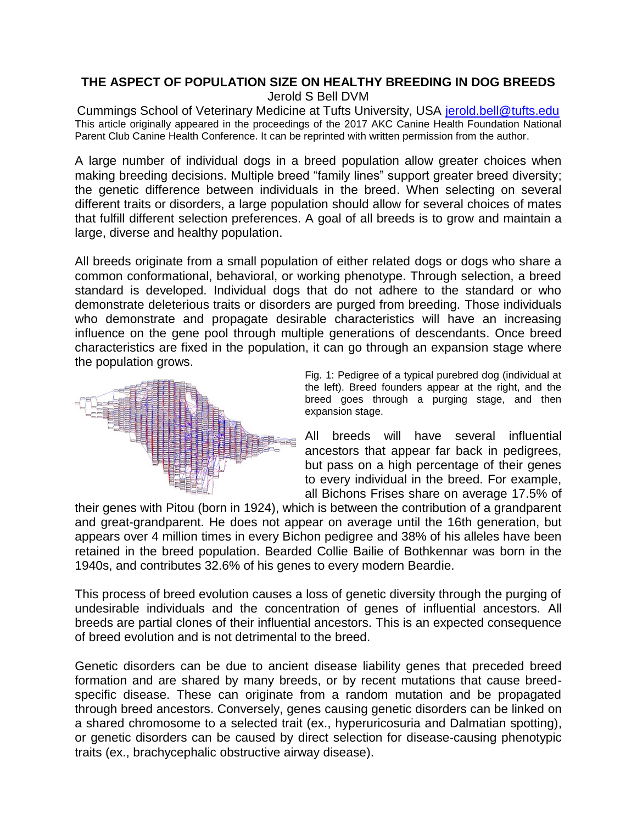## **THE ASPECT OF POPULATION SIZE ON HEALTHY BREEDING IN DOG BREEDS** Jerold S Bell DVM

Cummings School of Veterinary Medicine at Tufts University, USA [jerold.bell@tufts.edu](mailto:jerold.bell@tufts.edu) This article originally appeared in the proceedings of the 2017 AKC Canine Health Foundation National Parent Club Canine Health Conference. It can be reprinted with written permission from the author.

A large number of individual dogs in a breed population allow greater choices when making breeding decisions. Multiple breed "family lines" support greater breed diversity; the genetic difference between individuals in the breed. When selecting on several different traits or disorders, a large population should allow for several choices of mates that fulfill different selection preferences. A goal of all breeds is to grow and maintain a large, diverse and healthy population.

All breeds originate from a small population of either related dogs or dogs who share a common conformational, behavioral, or working phenotype. Through selection, a breed standard is developed. Individual dogs that do not adhere to the standard or who demonstrate deleterious traits or disorders are purged from breeding. Those individuals who demonstrate and propagate desirable characteristics will have an increasing influence on the gene pool through multiple generations of descendants. Once breed characteristics are fixed in the population, it can go through an expansion stage where the population grows.



Fig. 1: Pedigree of a typical purebred dog (individual at the left). Breed founders appear at the right, and the breed goes through a purging stage, and then expansion stage.

All breeds will have several influential ancestors that appear far back in pedigrees, but pass on a high percentage of their genes to every individual in the breed. For example, all Bichons Frises share on average 17.5% of

their genes with Pitou (born in 1924), which is between the contribution of a grandparent and great-grandparent. He does not appear on average until the 16th generation, but appears over 4 million times in every Bichon pedigree and 38% of his alleles have been retained in the breed population. Bearded Collie Bailie of Bothkennar was born in the 1940s, and contributes 32.6% of his genes to every modern Beardie.

This process of breed evolution causes a loss of genetic diversity through the purging of undesirable individuals and the concentration of genes of influential ancestors. All breeds are partial clones of their influential ancestors. This is an expected consequence of breed evolution and is not detrimental to the breed.

Genetic disorders can be due to ancient disease liability genes that preceded breed formation and are shared by many breeds, or by recent mutations that cause breedspecific disease. These can originate from a random mutation and be propagated through breed ancestors. Conversely, genes causing genetic disorders can be linked on a shared chromosome to a selected trait (ex., hyperuricosuria and Dalmatian spotting), or genetic disorders can be caused by direct selection for disease-causing phenotypic traits (ex., brachycephalic obstructive airway disease).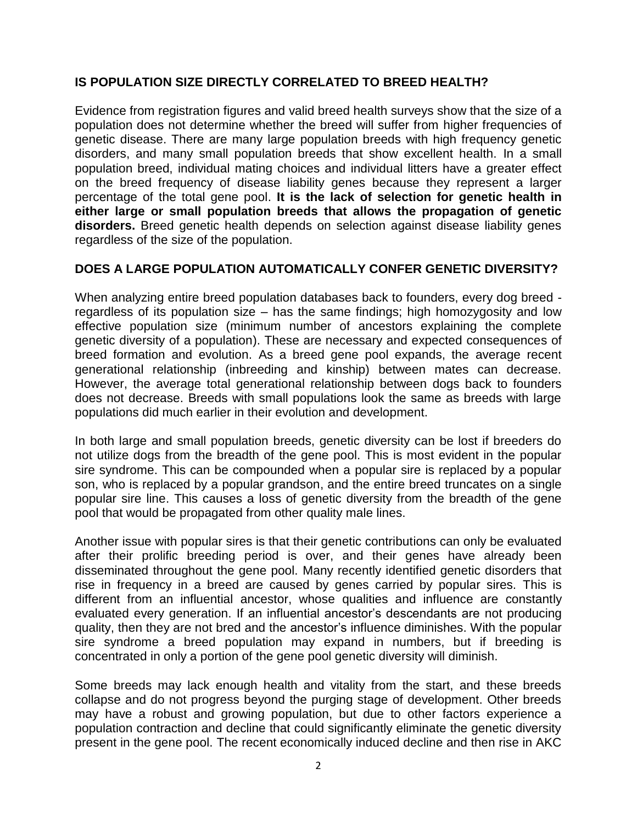## **IS POPULATION SIZE DIRECTLY CORRELATED TO BREED HEALTH?**

Evidence from registration figures and valid breed health surveys show that the size of a population does not determine whether the breed will suffer from higher frequencies of genetic disease. There are many large population breeds with high frequency genetic disorders, and many small population breeds that show excellent health. In a small population breed, individual mating choices and individual litters have a greater effect on the breed frequency of disease liability genes because they represent a larger percentage of the total gene pool. **It is the lack of selection for genetic health in either large or small population breeds that allows the propagation of genetic disorders.** Breed genetic health depends on selection against disease liability genes regardless of the size of the population.

## **DOES A LARGE POPULATION AUTOMATICALLY CONFER GENETIC DIVERSITY?**

When analyzing entire breed population databases back to founders, every dog breed regardless of its population size – has the same findings; high homozygosity and low effective population size (minimum number of ancestors explaining the complete genetic diversity of a population). These are necessary and expected consequences of breed formation and evolution. As a breed gene pool expands, the average recent generational relationship (inbreeding and kinship) between mates can decrease. However, the average total generational relationship between dogs back to founders does not decrease. Breeds with small populations look the same as breeds with large populations did much earlier in their evolution and development.

In both large and small population breeds, genetic diversity can be lost if breeders do not utilize dogs from the breadth of the gene pool. This is most evident in the popular sire syndrome. This can be compounded when a popular sire is replaced by a popular son, who is replaced by a popular grandson, and the entire breed truncates on a single popular sire line. This causes a loss of genetic diversity from the breadth of the gene pool that would be propagated from other quality male lines.

Another issue with popular sires is that their genetic contributions can only be evaluated after their prolific breeding period is over, and their genes have already been disseminated throughout the gene pool. Many recently identified genetic disorders that rise in frequency in a breed are caused by genes carried by popular sires. This is different from an influential ancestor, whose qualities and influence are constantly evaluated every generation. If an influential ancestor's descendants are not producing quality, then they are not bred and the ancestor's influence diminishes. With the popular sire syndrome a breed population may expand in numbers, but if breeding is concentrated in only a portion of the gene pool genetic diversity will diminish.

Some breeds may lack enough health and vitality from the start, and these breeds collapse and do not progress beyond the purging stage of development. Other breeds may have a robust and growing population, but due to other factors experience a population contraction and decline that could significantly eliminate the genetic diversity present in the gene pool. The recent economically induced decline and then rise in AKC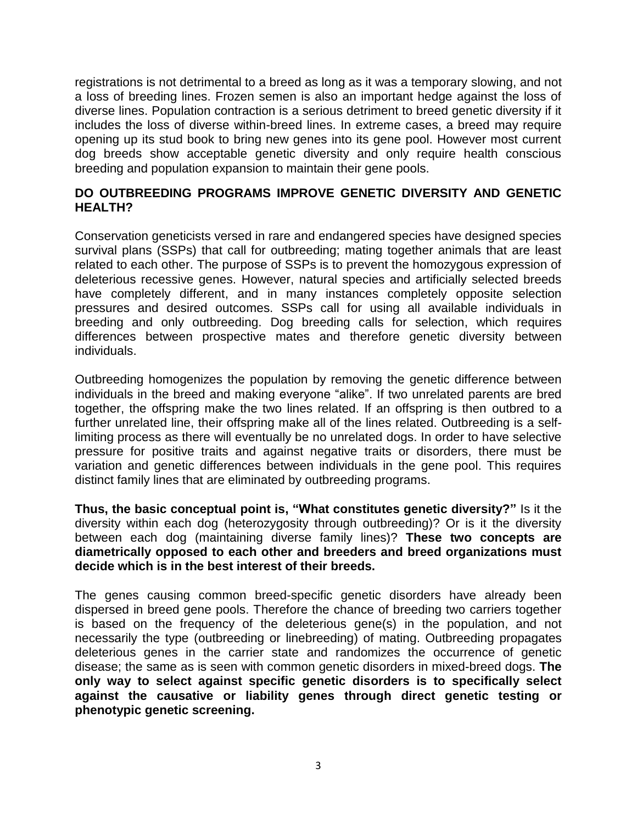registrations is not detrimental to a breed as long as it was a temporary slowing, and not a loss of breeding lines. Frozen semen is also an important hedge against the loss of diverse lines. Population contraction is a serious detriment to breed genetic diversity if it includes the loss of diverse within-breed lines. In extreme cases, a breed may require opening up its stud book to bring new genes into its gene pool. However most current dog breeds show acceptable genetic diversity and only require health conscious breeding and population expansion to maintain their gene pools.

#### **DO OUTBREEDING PROGRAMS IMPROVE GENETIC DIVERSITY AND GENETIC HEALTH?**

Conservation geneticists versed in rare and endangered species have designed species survival plans (SSPs) that call for outbreeding; mating together animals that are least related to each other. The purpose of SSPs is to prevent the homozygous expression of deleterious recessive genes. However, natural species and artificially selected breeds have completely different, and in many instances completely opposite selection pressures and desired outcomes. SSPs call for using all available individuals in breeding and only outbreeding. Dog breeding calls for selection, which requires differences between prospective mates and therefore genetic diversity between individuals.

Outbreeding homogenizes the population by removing the genetic difference between individuals in the breed and making everyone "alike". If two unrelated parents are bred together, the offspring make the two lines related. If an offspring is then outbred to a further unrelated line, their offspring make all of the lines related. Outbreeding is a selflimiting process as there will eventually be no unrelated dogs. In order to have selective pressure for positive traits and against negative traits or disorders, there must be variation and genetic differences between individuals in the gene pool. This requires distinct family lines that are eliminated by outbreeding programs.

**Thus, the basic conceptual point is, "What constitutes genetic diversity?"** Is it the diversity within each dog (heterozygosity through outbreeding)? Or is it the diversity between each dog (maintaining diverse family lines)? **These two concepts are diametrically opposed to each other and breeders and breed organizations must decide which is in the best interest of their breeds.**

The genes causing common breed-specific genetic disorders have already been dispersed in breed gene pools. Therefore the chance of breeding two carriers together is based on the frequency of the deleterious gene(s) in the population, and not necessarily the type (outbreeding or linebreeding) of mating. Outbreeding propagates deleterious genes in the carrier state and randomizes the occurrence of genetic disease; the same as is seen with common genetic disorders in mixed-breed dogs. **The only way to select against specific genetic disorders is to specifically select against the causative or liability genes through direct genetic testing or phenotypic genetic screening.**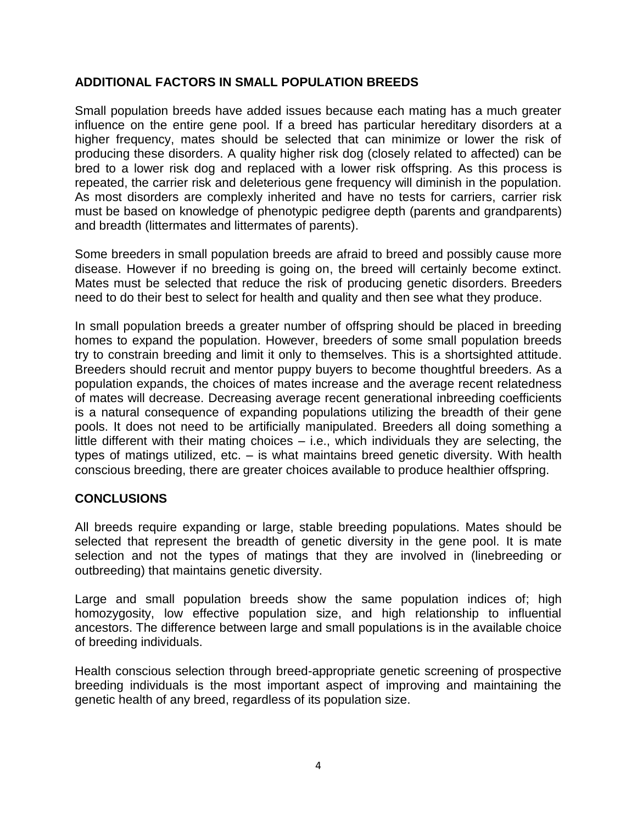## **ADDITIONAL FACTORS IN SMALL POPULATION BREEDS**

Small population breeds have added issues because each mating has a much greater influence on the entire gene pool. If a breed has particular hereditary disorders at a higher frequency, mates should be selected that can minimize or lower the risk of producing these disorders. A quality higher risk dog (closely related to affected) can be bred to a lower risk dog and replaced with a lower risk offspring. As this process is repeated, the carrier risk and deleterious gene frequency will diminish in the population. As most disorders are complexly inherited and have no tests for carriers, carrier risk must be based on knowledge of phenotypic pedigree depth (parents and grandparents) and breadth (littermates and littermates of parents).

Some breeders in small population breeds are afraid to breed and possibly cause more disease. However if no breeding is going on, the breed will certainly become extinct. Mates must be selected that reduce the risk of producing genetic disorders. Breeders need to do their best to select for health and quality and then see what they produce.

In small population breeds a greater number of offspring should be placed in breeding homes to expand the population. However, breeders of some small population breeds try to constrain breeding and limit it only to themselves. This is a shortsighted attitude. Breeders should recruit and mentor puppy buyers to become thoughtful breeders. As a population expands, the choices of mates increase and the average recent relatedness of mates will decrease. Decreasing average recent generational inbreeding coefficients is a natural consequence of expanding populations utilizing the breadth of their gene pools. It does not need to be artificially manipulated. Breeders all doing something a little different with their mating choices – i.e., which individuals they are selecting, the types of matings utilized, etc. – is what maintains breed genetic diversity. With health conscious breeding, there are greater choices available to produce healthier offspring.

## **CONCLUSIONS**

All breeds require expanding or large, stable breeding populations. Mates should be selected that represent the breadth of genetic diversity in the gene pool. It is mate selection and not the types of matings that they are involved in (linebreeding or outbreeding) that maintains genetic diversity.

Large and small population breeds show the same population indices of; high homozygosity, low effective population size, and high relationship to influential ancestors. The difference between large and small populations is in the available choice of breeding individuals.

Health conscious selection through breed-appropriate genetic screening of prospective breeding individuals is the most important aspect of improving and maintaining the genetic health of any breed, regardless of its population size.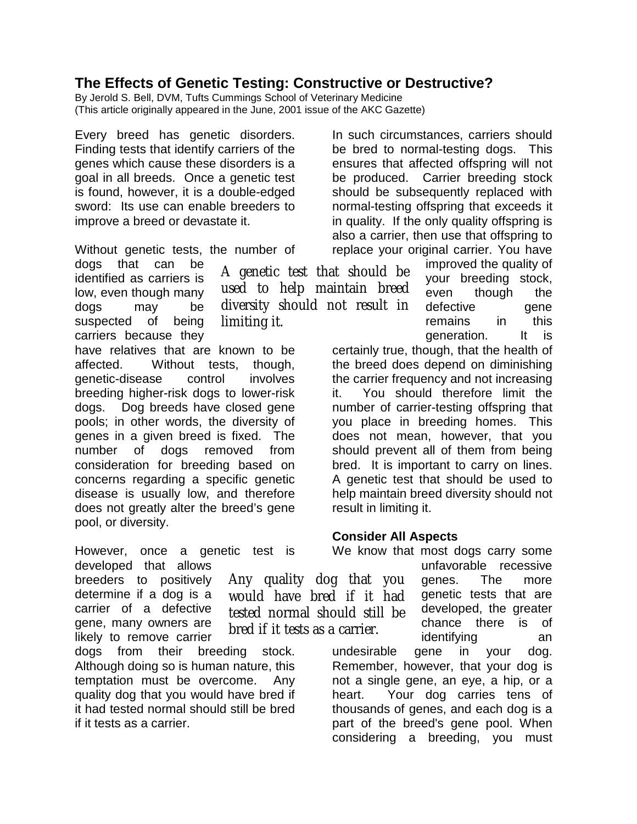## **The Effects of Genetic Testing: Constructive or Destructive?**

A genetic test that should be used to help maintain breed diversity should not result in

By Jerold S. Bell, DVM, Tufts Cummings School of Veterinary Medicine (This article originally appeared in the June, 2001 issue of the AKC Gazette)

limiting it.

Every breed has genetic disorders. Finding tests that identify carriers of the genes which cause these disorders is a goal in all breeds. Once a genetic test is found, however, it is a double-edged sword: Its use can enable breeders to improve a breed or devastate it.

Without genetic tests, the number of

dogs that can be identified as carriers is low, even though many dogs may be suspected of being carriers because they

have relatives that are known to be affected. Without tests, though, genetic-disease control involves breeding higher-risk dogs to lower-risk dogs. Dog breeds have closed gene pools; in other words, the diversity of genes in a given breed is fixed. The number of dogs removed from consideration for breeding based on concerns regarding a specific genetic disease is usually low, and therefore does not greatly alter the breed's gene pool, or diversity.

However, once a genetic test is developed that allows

breeders to positively determine if a dog is a carrier of a defective gene, many owners are likely to remove carrier

dogs from their breeding stock. Although doing so is human nature, this temptation must be overcome. Any quality dog that you would have bred if it had tested normal should still be bred if it tests as a carrier.

In such circumstances, carriers should be bred to normal-testing dogs. This ensures that affected offspring will not be produced. Carrier breeding stock should be subsequently replaced with normal-testing offspring that exceeds it in quality. If the only quality offspring is also a carrier, then use that offspring to replace your original carrier. You have

> improved the quality of your breeding stock, even though the defective gene remains in this generation. It is

certainly true, though, that the health of the breed does depend on diminishing the carrier frequency and not increasing it. You should therefore limit the number of carrier-testing offspring that you place in breeding homes. This does not mean, however, that you should prevent all of them from being bred. It is important to carry on lines. A genetic test that should be used to help maintain breed diversity should not result in limiting it.

## **Consider All Aspects**

We know that most dogs carry some unfavorable recessive

genes. The more genetic tests that are developed, the greater chance there is of identifying an undesirable gene in your dog. Remember, however, that your dog is not a single gene, an eye, a hip, or a heart. Your dog carries tens of thousands of genes, and each dog is a part of the breed's gene pool. When considering a breeding, you must

Any quality dog that you would have bred if it had tested normal should still be bred if it tests as a carrier.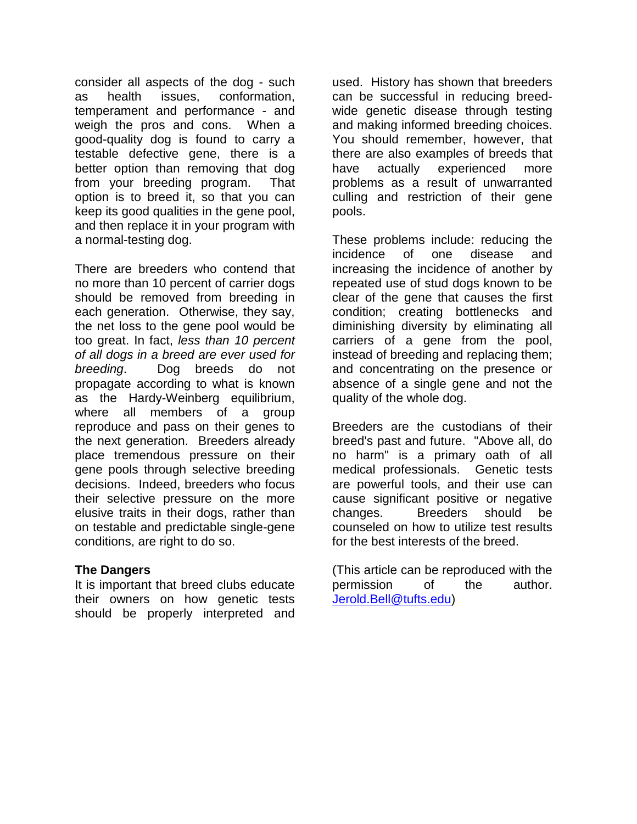consider all aspects of the dog - such as health issues, conformation, temperament and performance - and weigh the pros and cons. When a good-quality dog is found to carry a testable defective gene, there is a better option than removing that dog from your breeding program. That option is to breed it, so that you can keep its good qualities in the gene pool, and then replace it in your program with a normal-testing dog.

There are breeders who contend that no more than 10 percent of carrier dogs should be removed from breeding in each generation. Otherwise, they say, the net loss to the gene pool would be too great. In fact, *less than 10 percent of all dogs in a breed are ever used for breeding*. Dog breeds do not propagate according to what is known as the Hardy-Weinberg equilibrium, where all members of a group reproduce and pass on their genes to the next generation. Breeders already place tremendous pressure on their gene pools through selective breeding decisions. Indeed, breeders who focus their selective pressure on the more elusive traits in their dogs, rather than on testable and predictable single-gene conditions, are right to do so.

#### **The Dangers**

It is important that breed clubs educate their owners on how genetic tests should be properly interpreted and

used. History has shown that breeders can be successful in reducing breedwide genetic disease through testing and making informed breeding choices. You should remember, however, that there are also examples of breeds that have actually experienced more problems as a result of unwarranted culling and restriction of their gene pools.

These problems include: reducing the incidence of one disease and increasing the incidence of another by repeated use of stud dogs known to be clear of the gene that causes the first condition; creating bottlenecks and diminishing diversity by eliminating all carriers of a gene from the pool, instead of breeding and replacing them; and concentrating on the presence or absence of a single gene and not the quality of the whole dog.

Breeders are the custodians of their breed's past and future. "Above all, do no harm" is a primary oath of all medical professionals. Genetic tests are powerful tools, and their use can cause significant positive or negative changes. Breeders should be counseled on how to utilize test results for the best interests of the breed.

(This article can be reproduced with the permission of the author. [Jerold.Bell@tufts.edu\)](mailto:Jerold.bell@tufts.edu)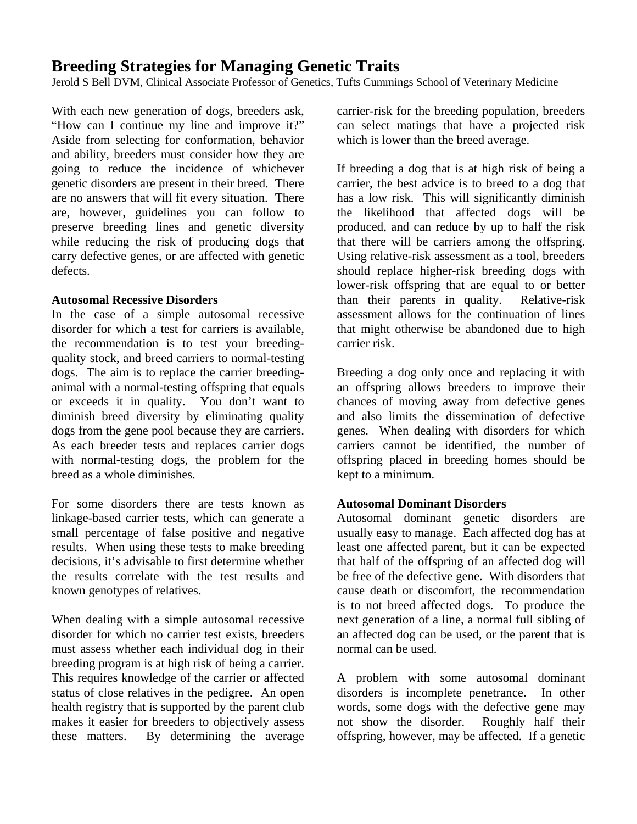# **Breeding Strategies for Managing Genetic Traits**

Jerold S Bell DVM, Clinical Associate Professor of Genetics, Tufts Cummings School of Veterinary Medicine

With each new generation of dogs, breeders ask, "How can I continue my line and improve it?" Aside from selecting for conformation, behavior and ability, breeders must consider how they are going to reduce the incidence of whichever genetic disorders are present in their breed. There are no answers that will fit every situation. There are, however, guidelines you can follow to preserve breeding lines and genetic diversity while reducing the risk of producing dogs that carry defective genes, or are affected with genetic defects.

#### **Autosomal Recessive Disorders**

In the case of a simple autosomal recessive disorder for which a test for carriers is available, the recommendation is to test your breedingquality stock, and breed carriers to normal-testing dogs. The aim is to replace the carrier breedinganimal with a normal-testing offspring that equals or exceeds it in quality. You don't want to diminish breed diversity by eliminating quality dogs from the gene pool because they are carriers. As each breeder tests and replaces carrier dogs with normal-testing dogs, the problem for the breed as a whole diminishes.

For some disorders there are tests known as linkage-based carrier tests, which can generate a small percentage of false positive and negative results. When using these tests to make breeding decisions, it's advisable to first determine whether the results correlate with the test results and known genotypes of relatives.

When dealing with a simple autosomal recessive disorder for which no carrier test exists, breeders must assess whether each individual dog in their breeding program is at high risk of being a carrier. This requires knowledge of the carrier or affected status of close relatives in the pedigree. An open health registry that is supported by the parent club makes it easier for breeders to objectively assess these matters. By determining the average carrier-risk for the breeding population, breeders can select matings that have a projected risk which is lower than the breed average.

If breeding a dog that is at high risk of being a carrier, the best advice is to breed to a dog that has a low risk. This will significantly diminish the likelihood that affected dogs will be produced, and can reduce by up to half the risk that there will be carriers among the offspring. Using relative-risk assessment as a tool, breeders should replace higher-risk breeding dogs with lower-risk offspring that are equal to or better than their parents in quality. Relative-risk assessment allows for the continuation of lines that might otherwise be abandoned due to high carrier risk.

Breeding a dog only once and replacing it with an offspring allows breeders to improve their chances of moving away from defective genes and also limits the dissemination of defective genes. When dealing with disorders for which carriers cannot be identified, the number of offspring placed in breeding homes should be kept to a minimum.

## **Autosomal Dominant Disorders**

Autosomal dominant genetic disorders are usually easy to manage. Each affected dog has at least one affected parent, but it can be expected that half of the offspring of an affected dog will be free of the defective gene. With disorders that cause death or discomfort, the recommendation is to not breed affected dogs. To produce the next generation of a line, a normal full sibling of an affected dog can be used, or the parent that is normal can be used.

A problem with some autosomal dominant disorders is incomplete penetrance. In other words, some dogs with the defective gene may not show the disorder. Roughly half their offspring, however, may be affected. If a genetic